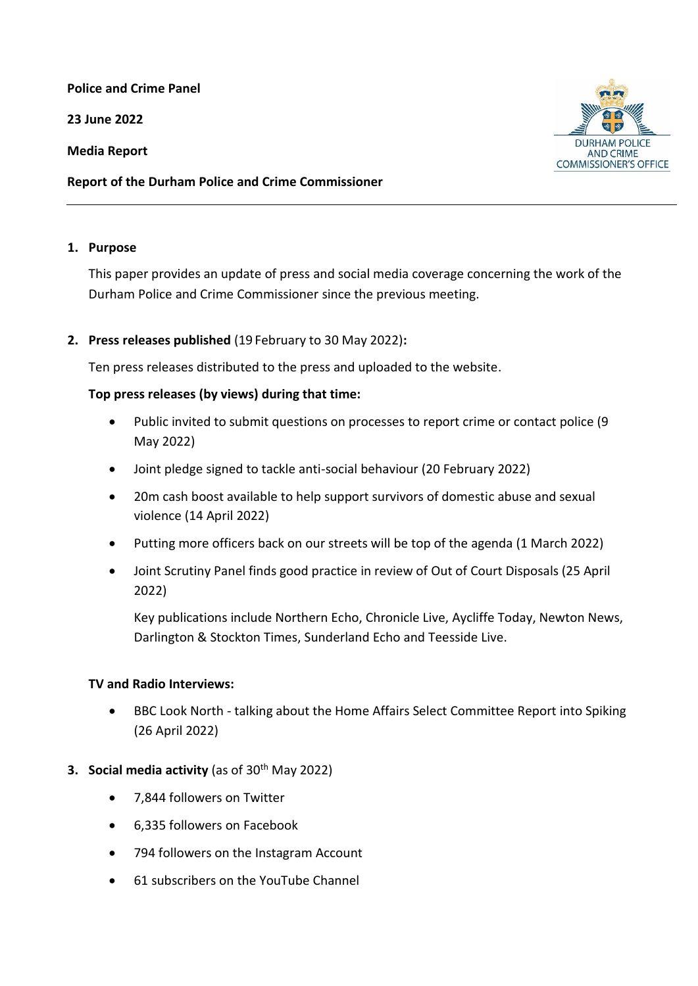**Police and Crime Panel**

**23 June 2022** 

**Media Report**

**Report of the Durham Police and Crime Commissioner**

### **1. Purpose**

This paper provides an update of press and social media coverage concerning the work of the Durham Police and Crime Commissioner since the previous meeting.

# **2. Press releases published** (19 February to 30 May 2022)**:**

Ten press releases distributed to the press and uploaded to the website.

# **Top press releases (by views) during that time:**

- Public invited to submit questions on processes to report crime or contact police (9 May 2022)
- Joint pledge signed to tackle anti-social behaviour (20 February 2022)
- 20m cash boost available to help support survivors of domestic abuse and sexual violence (14 April 2022)
- Putting more officers back on our streets will be top of the agenda (1 March 2022)
- Joint Scrutiny Panel finds good practice in review of Out of Court Disposals (25 April 2022)

Key publications include Northern Echo, Chronicle Live, Aycliffe Today, Newton News, Darlington & Stockton Times, Sunderland Echo and Teesside Live.

# **TV and Radio Interviews:**

 BBC Look North - talking about the Home Affairs Select Committee Report into Spiking (26 April 2022)

# **3. Social media activity** (as of 30<sup>th</sup> May 2022)

- 7,844 followers on Twitter
- 6,335 followers on Facebook
- 794 followers on the Instagram Account
- 61 subscribers on the YouTube Channel

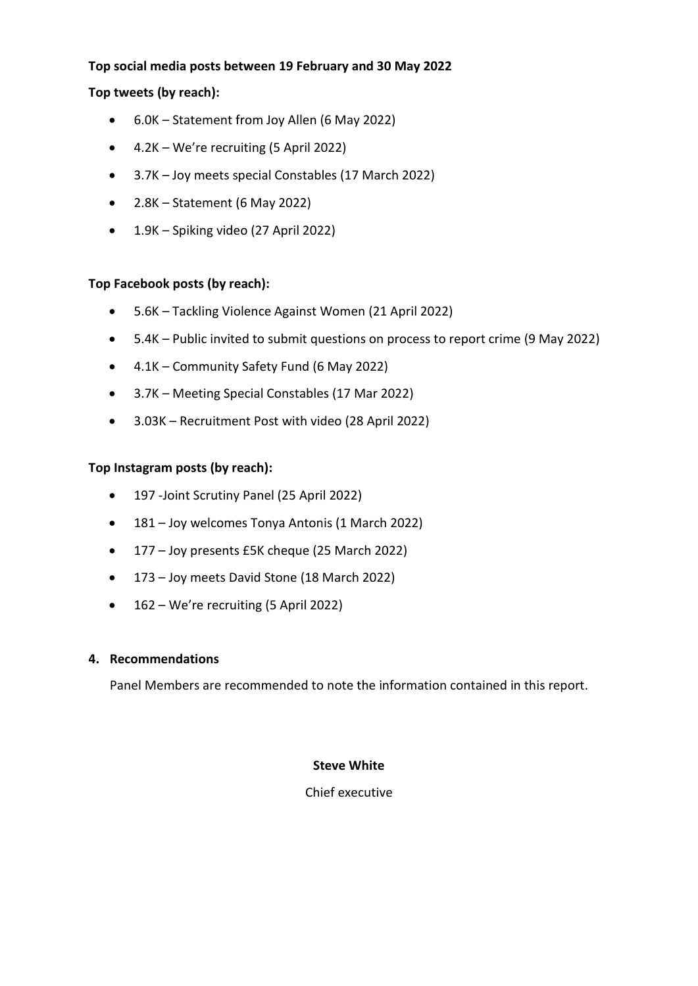## **Top social media posts between 19 February and 30 May 2022**

## **Top tweets (by reach):**

- 6.0K Statement from Joy Allen (6 May 2022)
- 4.2K We're recruiting (5 April 2022)
- 3.7K Joy meets special Constables (17 March 2022)
- $\bullet$  2.8K Statement (6 May 2022)
- 1.9K Spiking video (27 April 2022)

### **Top Facebook posts (by reach):**

- 5.6K Tackling Violence Against Women (21 April 2022)
- 5.4K Public invited to submit questions on process to report crime (9 May 2022)
- 4.1K Community Safety Fund (6 May 2022)
- 3.7K Meeting Special Constables (17 Mar 2022)
- 3.03K Recruitment Post with video (28 April 2022)

# **Top Instagram posts (by reach):**

- 197 -Joint Scrutiny Panel (25 April 2022)
- 181 Joy welcomes Tonya Antonis (1 March 2022)
- 177 Joy presents £5K cheque (25 March 2022)
- 173 Joy meets David Stone (18 March 2022)
- 162 We're recruiting (5 April 2022)

#### **4. Recommendations**

Panel Members are recommended to note the information contained in this report.

#### **Steve White**

Chief executive